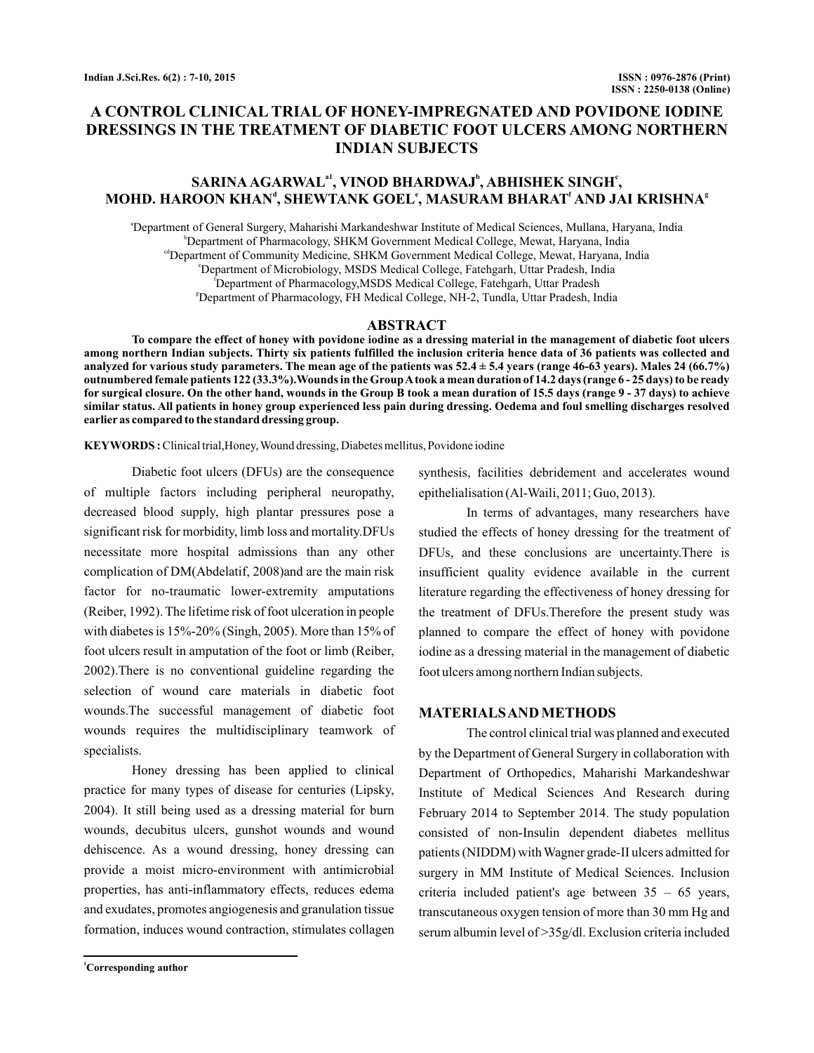# **A CONTROL CLINICAL TRIAL OF HONEY-IMPREGNATED AND POVIDONE IODINE DRESSINGS IN THE TREATMENT OF DIABETIC FOOT ULCERS AMONG NORTHERN INDIAN SUBJECTS**

## $\mathbf{SARINA AGARMAL}^{a1}, \mathbf{VINOD BHARDWAJ}^{b}, \mathbf{ABHISHEK SINGH}^{c},$ **MOHD. HAROON KHAN , SHEWTANK GOEL , MASURAM BHARAT AND JAI KRISHNA d e f g**

a Department of General Surgery, Maharishi Markandeshwar Institute of Medical Sciences, Mullana, Haryana, India b Department of Pharmacology, SHKM Government Medical College, Mewat, Haryana, India cdDepartment of Community Medicine, SHKM Government Medical College, Mewat, Haryana, India e Department of Microbiology, MSDS Medical College, Fatehgarh, Uttar Pradesh, India f Department of Pharmacology,MSDS Medical College, Fatehgarh, Uttar Pradesh g Department of Pharmacology, FH Medical College, NH-2, Tundla, Uttar Pradesh, India

## **ABSTRACT**

**To compare the effect of honey with povidone iodine as a dressing material in the management of diabetic foot ulcers among northern Indian subjects. Thirty six patients fulfilled the inclusion criteria hence data of 36 patients was collected and analyzed for various study parameters. The mean age of the patients was 52.4 ± 5.4 years (range 46-63 years). Males 24 (66.7%) outnumbered female patients 122 (33.3%).Wounds in the GroupA took a mean duration of 14.2 days (range 6 - 25 days) to be ready for surgical closure. On the other hand, wounds in the Group B took a mean duration of 15.5 days (range 9 - 37 days) to achieve similar status. All patients in honey group experienced less pain during dressing. Oedema and foul smelling discharges resolved earlier as compared to the standard dressing group.**

**KEYWORDS :**Clinical trial,Honey,Wound dressing, Diabetes mellitus, Povidone iodine

Diabetic foot ulcers (DFUs) are the consequence of multiple factors including peripheral neuropathy, decreased blood supply, high plantar pressures pose a significant risk for morbidity, limb loss and mortality.DFUs necessitate more hospital admissions than any other complication of DM(Abdelatif, 2008)and are the main risk factor for no-traumatic lower-extremity amputations (Reiber, 1992). The lifetime risk of foot ulceration in people with diabetes is  $15\% - 20\%$  (Singh, 2005). More than  $15\%$  of foot ulcers result in amputation of the foot or limb (Reiber, 2002).There is no conventional guideline regarding the selection of wound care materials in diabetic foot wounds.The successful management of diabetic foot wounds requires the multidisciplinary teamwork of specialists.

Honey dressing has been applied to clinical practice for many types of disease for centuries (Lipsky, 2004). It still being used as a dressing material for burn wounds, decubitus ulcers, gunshot wounds and wound dehiscence. As a wound dressing, honey dressing can provide a moist micro-environment with antimicrobial properties, has anti-inflammatory effects, reduces edema and exudates, promotes angiogenesis and granulation tissue formation, induces wound contraction, stimulates collagen

synthesis, facilities debridement and accelerates wound epithelialisation (Al-Waili, 2011; Guo, 2013).

In terms of advantages, many researchers have studied the effects of honey dressing for the treatment of DFUs, and these conclusions are uncertainty.There is insufficient quality evidence available in the current literature regarding the effectiveness of honey dressing for the treatment of DFUs.Therefore the present study was planned to compare the effect of honey with povidone iodine as a dressing material in the management of diabetic foot ulcers among northern Indian subjects.

## **MATERIALSANDMETHODS**

The control clinical trial was planned and executed by the Department of General Surgery in collaboration with Department of Orthopedics, Maharishi Markandeshwar Institute of Medical Sciences And Research during February 2014 to September 2014. The study population consisted of non-Insulin dependent diabetes mellitus patients (NIDDM) with Wagner grade-II ulcers admitted for surgery in MM Institute of Medical Sciences. Inclusion criteria included patient's age between 35 – 65 years, transcutaneous oxygen tension of more than 30 mm Hg and serum albumin level of >35g/dl. Exclusion criteria included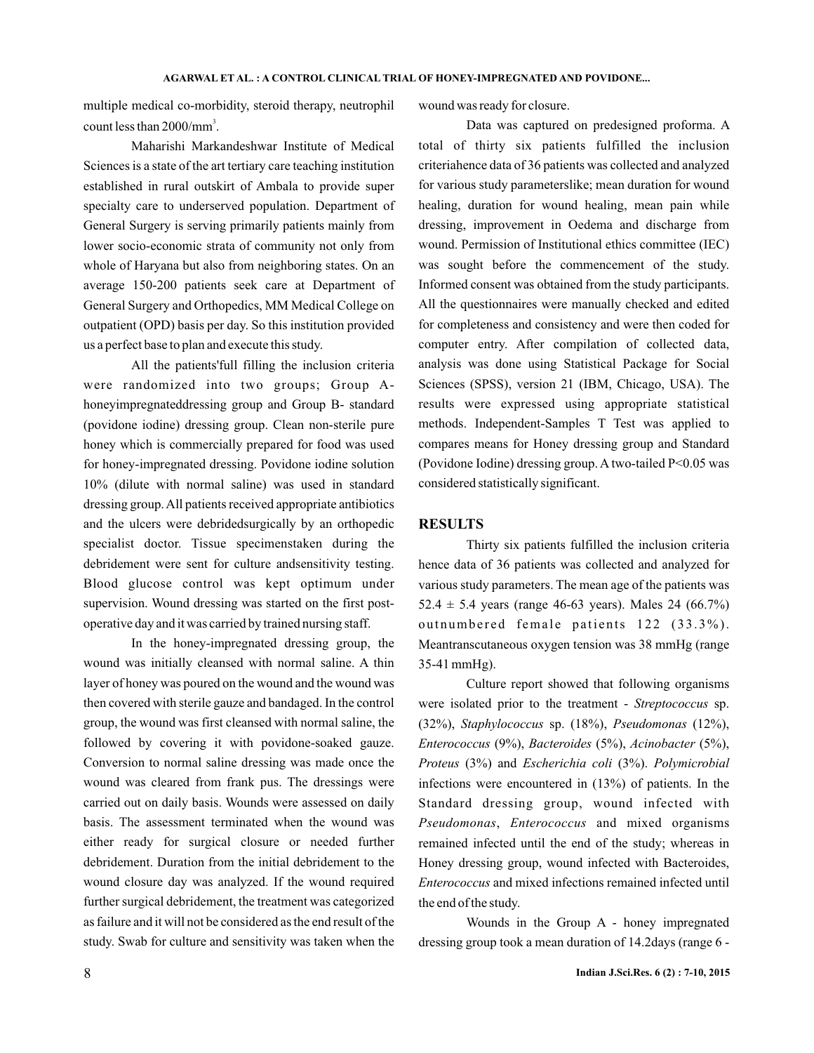multiple medical co-morbidity, steroid therapy, neutrophil count less than  $2000/\text{mm}^3$ .

Maharishi Markandeshwar Institute of Medical Sciences is a state of the art tertiary care teaching institution established in rural outskirt of Ambala to provide super specialty care to underserved population. Department of General Surgery is serving primarily patients mainly from lower socio-economic strata of community not only from whole of Haryana but also from neighboring states. On an average 150-200 patients seek care at Department of General Surgery and Orthopedics, MM Medical College on outpatient (OPD) basis per day. So this institution provided us a perfect base to plan and execute this study.

All the patients'full filling the inclusion criteria were randomized into two groups; Group Ahoneyimpregnateddressing group and Group B- standard (povidone iodine) dressing group. Clean non-sterile pure honey which is commercially prepared for food was used for honey-impregnated dressing. Povidone iodine solution 10% (dilute with normal saline) was used in standard dressing group.All patients received appropriate antibiotics and the ulcers were debridedsurgically by an orthopedic specialist doctor. Tissue specimenstaken during the debridement were sent for culture andsensitivity testing. Blood glucose control was kept optimum under supervision. Wound dressing was started on the first postoperative day and it was carried by trained nursing staff.

In the honey-impregnated dressing group, the wound was initially cleansed with normal saline. A thin layer of honey was poured on the wound and the wound was then covered with sterile gauze and bandaged. In the control group, the wound was first cleansed with normal saline, the followed by covering it with povidone-soaked gauze. Conversion to normal saline dressing was made once the wound was cleared from frank pus. The dressings were carried out on daily basis. Wounds were assessed on daily basis. The assessment terminated when the wound was either ready for surgical closure or needed further debridement. Duration from the initial debridement to the wound closure day was analyzed. If the wound required further surgical debridement, the treatment was categorized as failure and it will not be considered as the end result of the study. Swab for culture and sensitivity was taken when the wound was ready for closure.

Data was captured on predesigned proforma. A total of thirty six patients fulfilled the inclusion criteriahence data of 36 patients was collected and analyzed for various study parameterslike; mean duration for wound healing, duration for wound healing, mean pain while dressing, improvement in Oedema and discharge from wound. Permission of Institutional ethics committee (IEC) was sought before the commencement of the study. Informed consent was obtained from the study participants. All the questionnaires were manually checked and edited for completeness and consistency and were then coded for computer entry. After compilation of collected data, analysis was done using Statistical Package for Social Sciences (SPSS), version 21 (IBM, Chicago, USA). The results were expressed using appropriate statistical methods. Independent-Samples T Test was applied to compares means for Honey dressing group and Standard (Povidone Iodine) dressing group. A two-tailed P<0.05 was considered statistically significant.

### **RESULTS**

Thirty six patients fulfilled the inclusion criteria hence data of 36 patients was collected and analyzed for various study parameters. The mean age of the patients was 52.4  $\pm$  5.4 years (range 46-63 years). Males 24 (66.7%) outnumbered female patients  $122$   $(33.3\%)$ . Meantranscutaneous oxygen tension was 38 mmHg (range 35-41 mmHg).

Culture report showed that following organisms were isolated prior to the treatment - Streptococcus sp. (32%), Staphylococcus sp. (18%), Pseudomonas (12%), *Enterococcus* (9%), *Bacteroides* (5%), *Acinobacter* (5%), Proteus (3%) and *Escherichia coli* (3%). Polymicrobial infections were encountered in (13%) of patients. In the Standard dressing group, wound infected with Pseudomonas, Enterococcus and mixed organisms remained infected until the end of the study; whereas in Honey dressing group, wound infected with Bacteroides, *Enterococcus* and mixed infections remained infected until the end of the study.

Wounds in the Group A - honey impregnated dressing group took a mean duration of 14.2days (range 6 -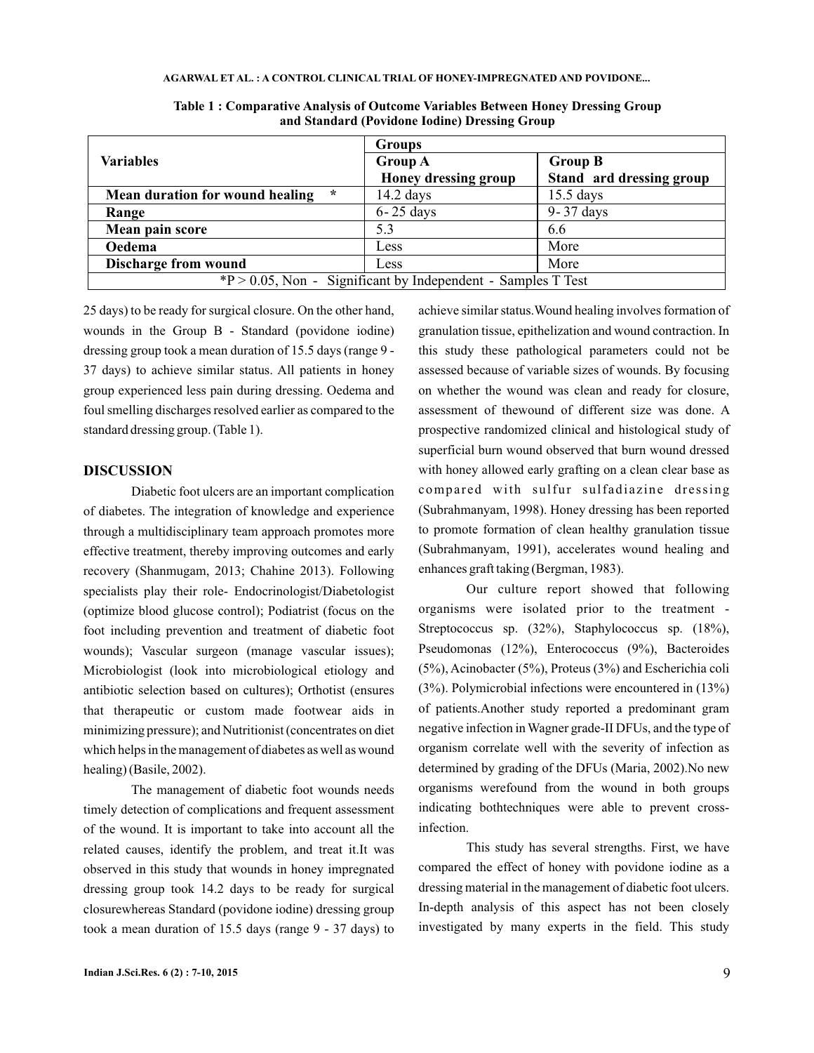#### **AGARWAL ET AL. A CONTROL CLINICAL TRIAL OF HONEY-IMPREGNATED AND POVIDONE... :**

|                                                                 | <b>Groups</b>        |                          |
|-----------------------------------------------------------------|----------------------|--------------------------|
| <b>Variables</b>                                                | <b>Group A</b>       | <b>Group B</b>           |
|                                                                 | Honey dressing group | Stand ard dressing group |
| $\ast$<br>Mean duration for wound healing                       | $14.2$ days          | $15.5$ days              |
| Range                                                           | $6 - 25$ days        | 9-37 days                |
| Mean pain score                                                 | 5.3                  | 6.6                      |
| Oedema                                                          | Less                 | More                     |
| <b>Discharge from wound</b>                                     | Less                 | More                     |
| $*P > 0.05$ , Non - Significant by Independent - Samples T Test |                      |                          |

**Table 1 : Comparative Analysis of Outcome Variables Between Honey Dressing Group and Standard (Povidone Iodine) Dressing Group**

25 days) to be ready for surgical closure. On the other hand, wounds in the Group B - Standard (povidone iodine) dressing group took a mean duration of 15.5 days (range 9 - 37 days) to achieve similar status. All patients in honey group experienced less pain during dressing. Oedema and foul smelling discharges resolved earlier as compared to the standard dressing group. (Table 1).

## **DISCUSSION**

Diabetic foot ulcers are an important complication of diabetes. The integration of knowledge and experience through a multidisciplinary team approach promotes more effective treatment, thereby improving outcomes and early recovery (Shanmugam, 2013; Chahine 2013). Following specialists play their role- Endocrinologist/Diabetologist (optimize blood glucose control); Podiatrist (focus on the foot including prevention and treatment of diabetic foot wounds); Vascular surgeon (manage vascular issues); Microbiologist (look into microbiological etiology and antibiotic selection based on cultures); Orthotist (ensures that therapeutic or custom made footwear aids in minimizing pressure); and Nutritionist (concentrates on diet which helps in the management of diabetes as well as wound healing) (Basile, 2002).

The management of diabetic foot wounds needs timely detection of complications and frequent assessment of the wound. It is important to take into account all the related causes, identify the problem, and treat it.It was observed in this study that wounds in honey impregnated dressing group took 14.2 days to be ready for surgical closurewhereas Standard (povidone iodine) dressing group took a mean duration of 15.5 days (range 9 - 37 days) to

achieve similar status.Wound healing involves formation of granulation tissue, epithelization and wound contraction. In this study these pathological parameters could not be assessed because of variable sizes of wounds. By focusing on whether the wound was clean and ready for closure, assessment of thewound of different size was done. A prospective randomized clinical and histological study of superficial burn wound observed that burn wound dressed with honey allowed early grafting on a clean clear base as compared with sulfur sulfadiazine dressing (Subrahmanyam, 1998). Honey dressing has been reported to promote formation of clean healthy granulation tissue (Subrahmanyam, 1991), accelerates wound healing and enhances graft taking (Bergman, 1983).

Our culture report showed that following organisms were isolated prior to the treatment - Streptococcus sp. (32%), Staphylococcus sp. (18%), Pseudomonas (12%), Enterococcus (9%), Bacteroides (5%), Acinobacter (5%), Proteus (3%) and Escherichia coli (3%). Polymicrobial infections were encountered in (13%) of patients.Another study reported a predominant gram negative infection inWagner grade-II DFUs, and the type of organism correlate well with the severity of infection as determined by grading of the DFUs (Maria, 2002).No new organisms werefound from the wound in both groups indicating bothtechniques were able to prevent crossinfection.

This study has several strengths. First, we have compared the effect of honey with povidone iodine as a dressing material in the management of diabetic foot ulcers. In-depth analysis of this aspect has not been closely investigated by many experts in the field. This study